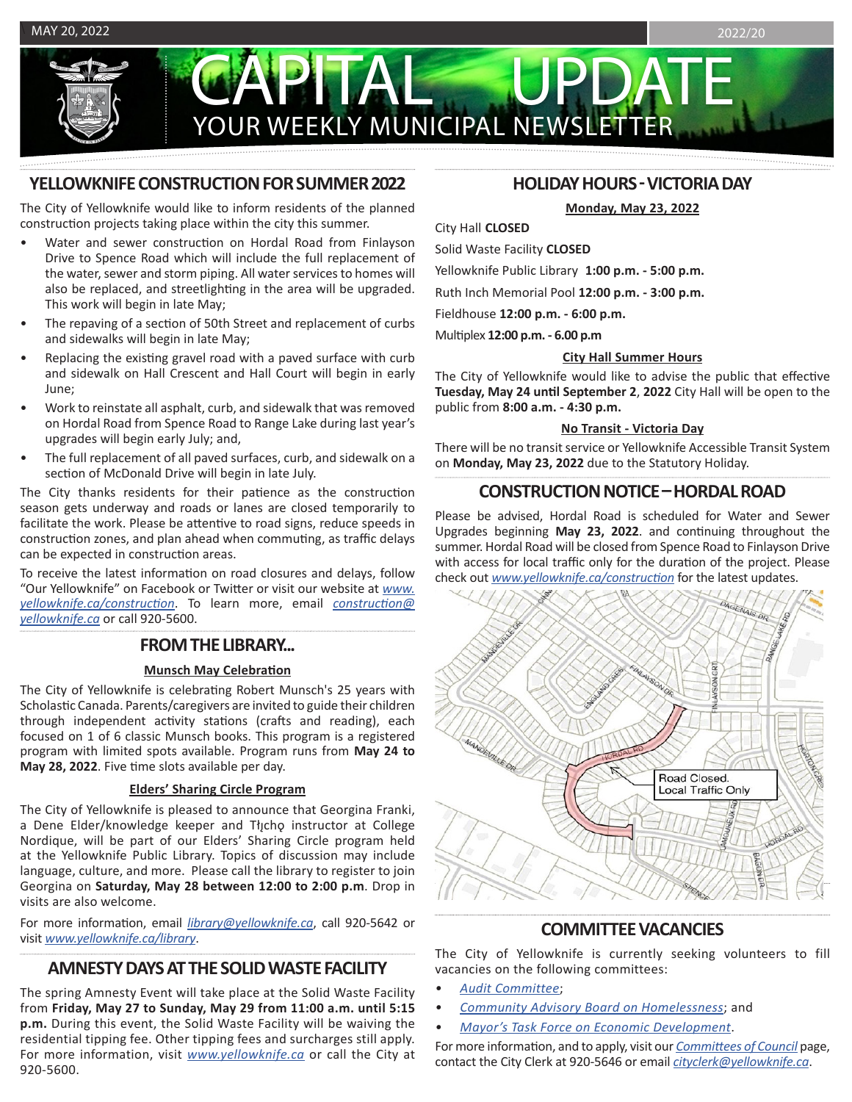PIAL YOUR WEEKLY MUNICIPAL NEWSLET

# **YELLOWKNIFE CONSTRUCTION FOR SUMMER 2022**

The City of Yellowknife would like to inform residents of the planned construction projects taking place within the city this summer.

- Water and sewer construction on Hordal Road from Finlayson Drive to Spence Road which will include the full replacement of the water, sewer and storm piping. All water services to homes will also be replaced, and streetlighting in the area will be upgraded. This work will begin in late May;
- The repaving of a section of 50th Street and replacement of curbs and sidewalks will begin in late May;
- Replacing the existing gravel road with a paved surface with curb and sidewalk on Hall Crescent and Hall Court will begin in early June;
- Work to reinstate all asphalt, curb, and sidewalk that was removed on Hordal Road from Spence Road to Range Lake during last year's upgrades will begin early July; and,
- The full replacement of all paved surfaces, curb, and sidewalk on a section of McDonald Drive will begin in late July.

The City thanks residents for their patience as the construction season gets underway and roads or lanes are closed temporarily to facilitate the work. Please be attentive to road signs, reduce speeds in construction zones, and plan ahead when commuting, as traffic delays can be expected in construction areas.

To receive the latest information on road closures and delays, follow "Our Yellowknife" on Facebook or Twitter or visit our website at *[www.](http://www.yellowknife.ca/construction) [yellowknife.ca/construction](http://www.yellowknife.ca/construction)*. To learn more, email *[construction@](mailto:construction%40yellowknife.ca?subject=) [yellowknife.ca](mailto:construction%40yellowknife.ca?subject=)* or call 920-5600.

### **FROM THE LIBRARY...**

### **Munsch May Celebration**

The City of Yellowknife is celebrating Robert Munsch's 25 years with Scholastic Canada. Parents/caregivers are invited to guide their children through independent activity stations (crafts and reading), each focused on 1 of 6 classic Munsch books. This program is a registered program with limited spots available. Program runs from **May 24 to May 28, 2022**. Five time slots available per day.

### **Elders' Sharing Circle Program**

The City of Yellowknife is pleased to announce that Georgina Franki, a Dene Elder/knowledge keeper and Tłįcho instructor at College Nordique, will be part of our Elders' Sharing Circle program held at the Yellowknife Public Library. Topics of discussion may include language, culture, and more. Please call the library to register to join Georgina on **Saturday, May 28 between 12:00 to 2:00 p.m**. Drop in visits are also welcome.

For more information, email *library@yellowknife.ca*, call 920-5642 or visit *www.yellowknife.ca/library*.

# **AMNESTY DAYS AT THE SOLID WASTE FACILITY**

The spring Amnesty Event will take place at the Solid Waste Facility from **Friday, May 27 to Sunday, May 29 from 11:00 a.m. until 5:15 p.m.** During this event, the Solid Waste Facility will be waiving the residential tipping fee. Other tipping fees and surcharges still apply. For more information, visit *[www.yellowknife.ca](https://www.yellowknife.ca/en/living-here/amnesty-days.aspx)* or call the City at 920-5600.

# **HOLIDAY HOURS - VICTORIA DAY**

**Monday, May 23, 2022**

# City Hall **CLOSED**

Solid Waste Facility **CLOSED** 

Yellowknife Public Library **1:00 p.m. - 5:00 p.m.**

Ruth Inch Memorial Pool **12:00 p.m. - 3:00 p.m.** 

Fieldhouse **12:00 p.m. - 6:00 p.m.** 

Multiplex **12:00 p.m. - 6.00 p.m** 

### **City Hall Summer Hours**

The City of Yellowknife would like to advise the public that effective **Tuesday, May 24 until September 2**, **2022** City Hall will be open to the public from **8:00 a.m. - 4:30 p.m.** 

### **No Transit - Victoria Day**

There will be no transit service or Yellowknife Accessible Transit System on **Monday, May 23, 2022** due to the Statutory Holiday.

# **CONSTRUCTION NOTICE – HORDAL ROAD**

Please be advised, Hordal Road is scheduled for Water and Sewer Upgrades beginning **May 23, 2022**. and continuing throughout the summer. Hordal Road will be closed from Spence Road to Finlayson Drive with access for local traffic only for the duration of the project. Please check out *[www.yellowknife.ca/construction](http://www.yellowknife.ca/construction)* for the latest updates.



# **COMMITTEE VACANCIES**

The City of Yellowknife is currently seeking volunteers to fill vacancies on the following committees:

- *• [Audit Committee](https://www.yellowknife.ca/en/city-government/committees-of-council.aspx#Audit-Committee)*;
- *• [Community Advisory Board on Homelessness](https://www.yellowknife.ca/en/city-government/committees-of-council.aspx#Community-Advisory-Board-on-Homelessness)*; and
- *• [Mayor's Task Force on Economic Development](https://www.yellowknife.ca/en/city-government/committees-of-council.aspx#Mayors-Task-Force-on-Economic-Development)*.

For more information, and to apply, visit our *[Committees of Council](https://www.yellowknife.ca/en/city-government/committees-of-council.aspx)* page, contact the City Clerk at 920-5646 or email *[cityclerk@yellowknife.ca](mailto:cityclerk%40yellowknife.ca?subject=)*.